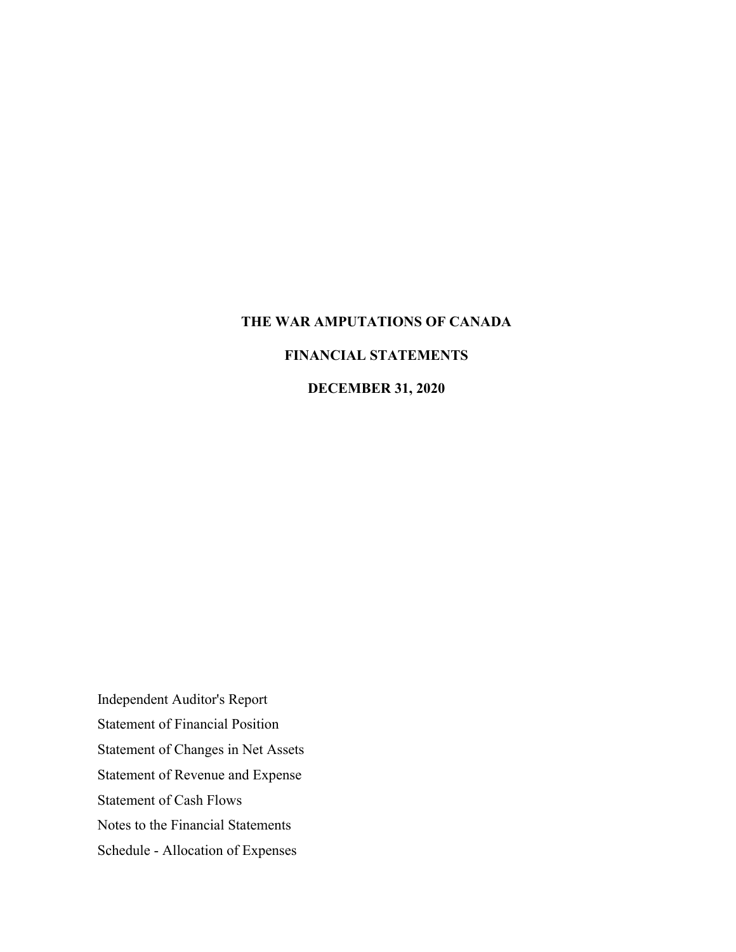# **FINANCIAL STATEMENTS**

**DECEMBER 31, 2020**

Independent Auditor's Report Statement of Financial Position Statement of Changes in Net Assets Statement of Revenue and Expense Statement of Cash Flows Notes to the Financial Statements Schedule - Allocation of Expenses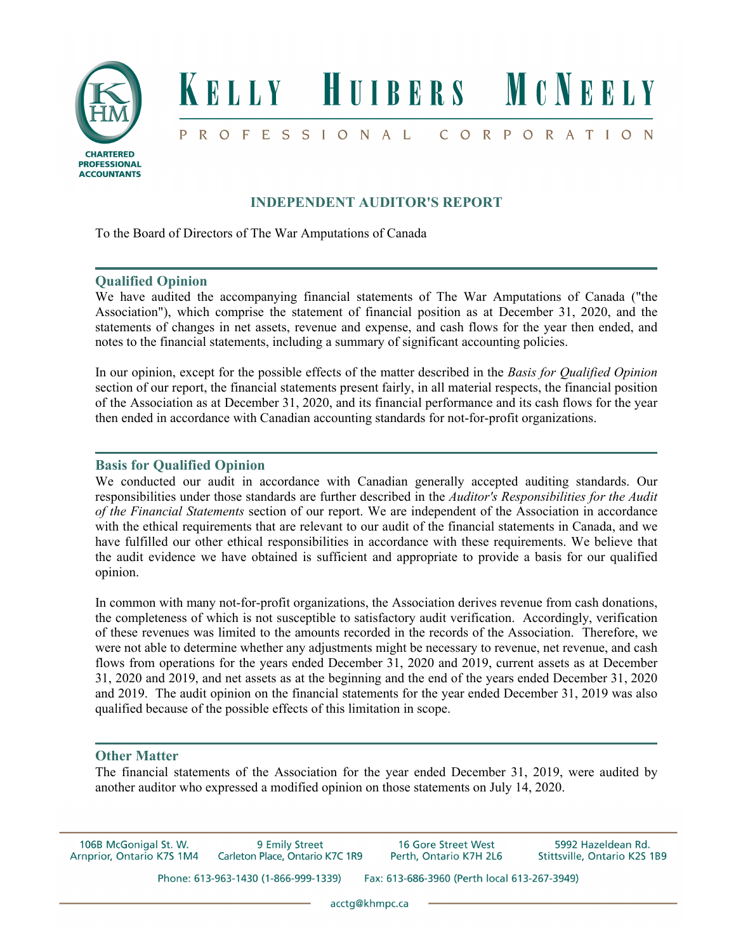

KELLY HUIBERS MCNEELY PROFESSIONAL CORPORATION

# **INDEPENDENT AUDITOR'S REPORT**

To the Board of Directors of The War Amputations of Canada

#### **Qualified Opinion**

We have audited the accompanying financial statements of The War Amputations of Canada ("the Association"), which comprise the statement of financial position as at December 31, 2020, and the statements of changes in net assets, revenue and expense, and cash flows for the year then ended, and notes to the financial statements, including a summary of significant accounting policies.

In our opinion, except for the possible effects of the matter described in the *Basis for Qualified Opinion* section of our report, the financial statements present fairly, in all material respects, the financial position of the Association as at December 31, 2020, and its financial performance and its cash flows for the year then ended in accordance with Canadian accounting standards for not-for-profit organizations.

#### **Basis for Qualified Opinion**

We conducted our audit in accordance with Canadian generally accepted auditing standards. Our responsibilities under those standards are further described in the *Auditor's Responsibilities for the Audit of the Financial Statements* section of our report. We are independent of the Association in accordance with the ethical requirements that are relevant to our audit of the financial statements in Canada, and we have fulfilled our other ethical responsibilities in accordance with these requirements. We believe that the audit evidence we have obtained is sufficient and appropriate to provide a basis for our qualified opinion.

In common with many not-for-profit organizations, the Association derives revenue from cash donations, the completeness of which is not susceptible to satisfactory audit verification. Accordingly, verification of these revenues was limited to the amounts recorded in the records of the Association. Therefore, we were not able to determine whether any adjustments might be necessary to revenue, net revenue, and cash flows from operations for the years ended December 31, 2020 and 2019, current assets as at December 31, 2020 and 2019, and net assets as at the beginning and the end of the years ended December 31, 2020 and 2019. The audit opinion on the financial statements for the year ended December 31, 2019 was also qualified because of the possible effects of this limitation in scope.

#### **Other Matter**

The financial statements of the Association for the year ended December 31, 2019, were audited by another auditor who expressed a modified opinion on those statements on July 14, 2020.

106B McGonigal St. W. 9 Emily Street 16 Gore Street West 5992 Hazeldean Rd. Carleton Place, Ontario K7C 1R9 Stittsville, Ontario K2S 1B9 Arnprior, Ontario K7S 1M4 Perth, Ontario K7H 2L6 Phone: 613-963-1430 (1-866-999-1339) Fax: 613-686-3960 (Perth local 613-267-3949) acctg@khmpc.ca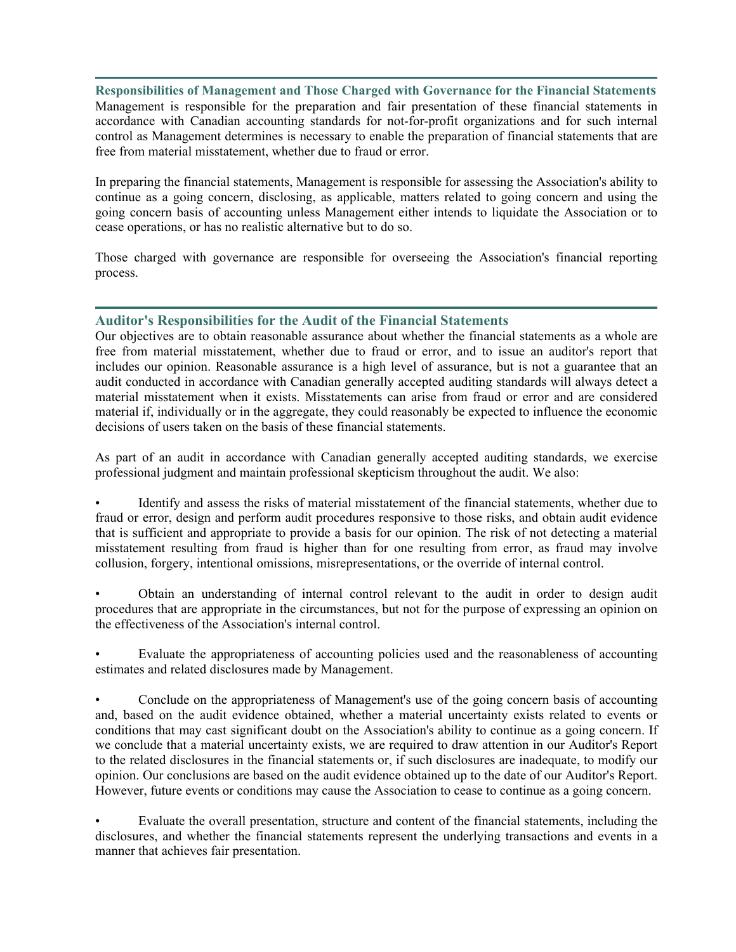**Responsibilities of Management and Those Charged with Governance for the Financial Statements** Management is responsible for the preparation and fair presentation of these financial statements in accordance with Canadian accounting standards for not-for-profit organizations and for such internal control as Management determines is necessary to enable the preparation of financial statements that are free from material misstatement, whether due to fraud or error.

In preparing the financial statements, Management is responsible for assessing the Association's ability to continue as a going concern, disclosing, as applicable, matters related to going concern and using the going concern basis of accounting unless Management either intends to liquidate the Association or to cease operations, or has no realistic alternative but to do so.

Those charged with governance are responsible for overseeing the Association's financial reporting process.

#### **Auditor's Responsibilities for the Audit of the Financial Statements**

Our objectives are to obtain reasonable assurance about whether the financial statements as a whole are free from material misstatement, whether due to fraud or error, and to issue an auditor's report that includes our opinion. Reasonable assurance is a high level of assurance, but is not a guarantee that an audit conducted in accordance with Canadian generally accepted auditing standards will always detect a material misstatement when it exists. Misstatements can arise from fraud or error and are considered material if, individually or in the aggregate, they could reasonably be expected to influence the economic decisions of users taken on the basis of these financial statements.

As part of an audit in accordance with Canadian generally accepted auditing standards, we exercise professional judgment and maintain professional skepticism throughout the audit. We also:

• Identify and assess the risks of material misstatement of the financial statements, whether due to fraud or error, design and perform audit procedures responsive to those risks, and obtain audit evidence that is sufficient and appropriate to provide a basis for our opinion. The risk of not detecting a material misstatement resulting from fraud is higher than for one resulting from error, as fraud may involve collusion, forgery, intentional omissions, misrepresentations, or the override of internal control.

• Obtain an understanding of internal control relevant to the audit in order to design audit procedures that are appropriate in the circumstances, but not for the purpose of expressing an opinion on the effectiveness of the Association's internal control.

• Evaluate the appropriateness of accounting policies used and the reasonableness of accounting estimates and related disclosures made by Management.

• Conclude on the appropriateness of Management's use of the going concern basis of accounting and, based on the audit evidence obtained, whether a material uncertainty exists related to events or conditions that may cast significant doubt on the Association's ability to continue as a going concern. If we conclude that a material uncertainty exists, we are required to draw attention in our Auditor's Report to the related disclosures in the financial statements or, if such disclosures are inadequate, to modify our opinion. Our conclusions are based on the audit evidence obtained up to the date of our Auditor's Report. However, future events or conditions may cause the Association to cease to continue as a going concern.

• Evaluate the overall presentation, structure and content of the financial statements, including the disclosures, and whether the financial statements represent the underlying transactions and events in a manner that achieves fair presentation.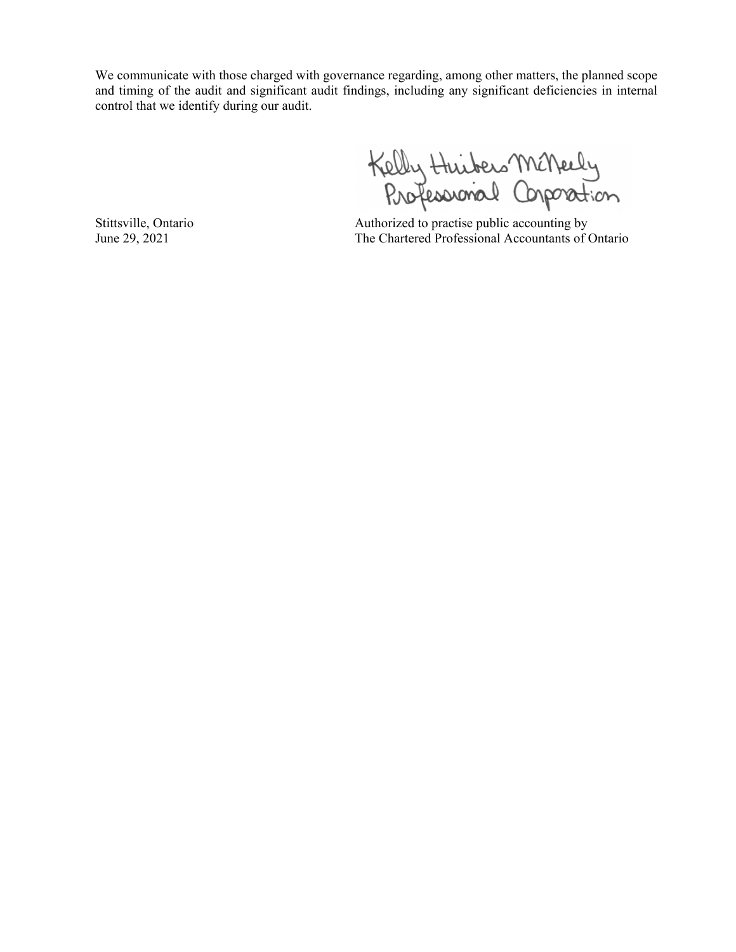We communicate with those charged with governance regarding, among other matters, the planned scope and timing of the audit and significant audit findings, including any significant deficiencies in internal control that we identify during our audit.

Kelly Huibers McNeely<br>Roofessional Corporation

Stittsville, Ontario Authorized to practise public accounting by<br>June 29, 2021 The Chartered Professional Accountants of The Chartered Professional Accountants of Ontario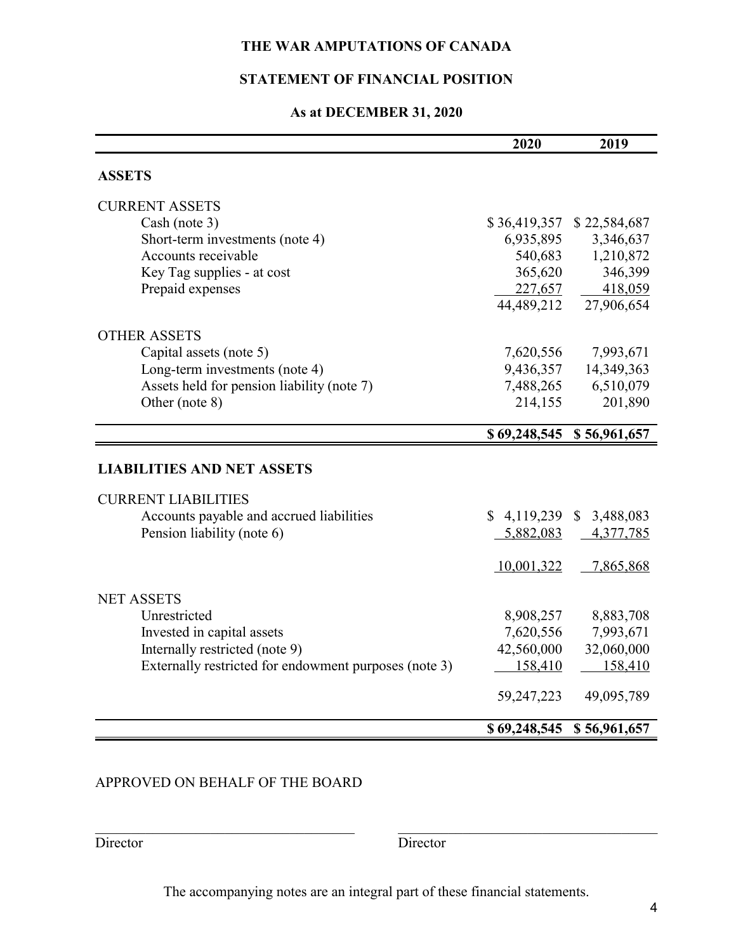# **STATEMENT OF FINANCIAL POSITION**

## **As at DECEMBER 31, 2020**

|                                                       | 2020         | 2019                      |
|-------------------------------------------------------|--------------|---------------------------|
| <b>ASSETS</b>                                         |              |                           |
| <b>CURRENT ASSETS</b>                                 |              |                           |
| Cash (note 3)                                         | \$36,419,357 | \$22,584,687              |
| Short-term investments (note 4)                       | 6,935,895    | 3,346,637                 |
| Accounts receivable                                   | 540,683      | 1,210,872                 |
| Key Tag supplies - at cost                            | 365,620      | 346,399                   |
| Prepaid expenses                                      | 227,657      | 418,059                   |
|                                                       | 44,489,212   | 27,906,654                |
| <b>OTHER ASSETS</b>                                   |              |                           |
| Capital assets (note 5)                               | 7,620,556    | 7,993,671                 |
| Long-term investments (note 4)                        | 9,436,357    | 14,349,363                |
| Assets held for pension liability (note 7)            | 7,488,265    | 6,510,079                 |
| Other (note 8)                                        | 214,155      | 201,890                   |
|                                                       |              | \$69,248,545 \$56,961,657 |
| <b>LIABILITIES AND NET ASSETS</b>                     |              |                           |
|                                                       |              |                           |
| <b>CURRENT LIABILITIES</b>                            |              |                           |
| Accounts payable and accrued liabilities              |              | $$4,119,239$ $$3,488,083$ |
| Pension liability (note 6)                            | 5,882,083    | 4,377,785                 |
|                                                       | 10,001,322   | 7,865,868                 |
| <b>NET ASSETS</b>                                     |              |                           |
| Unrestricted                                          | 8,908,257    | 8,883,708                 |
| Invested in capital assets                            | 7,620,556    | 7,993,671                 |
| Internally restricted (note 9)                        | 42,560,000   | 32,060,000                |
| Externally restricted for endowment purposes (note 3) | 158,410      | 158,410                   |
|                                                       |              |                           |
|                                                       | 59,247,223   | 49,095,789                |
|                                                       | \$69,248,545 | \$56,961,657              |

## APPROVED ON BEHALF OF THE BOARD

Director Director Director

The accompanying notes are an integral part of these financial statements.

 $\_$  , and the contribution of the contribution of  $\mathcal{L}_\mathcal{A}$  , and the contribution of  $\mathcal{L}_\mathcal{A}$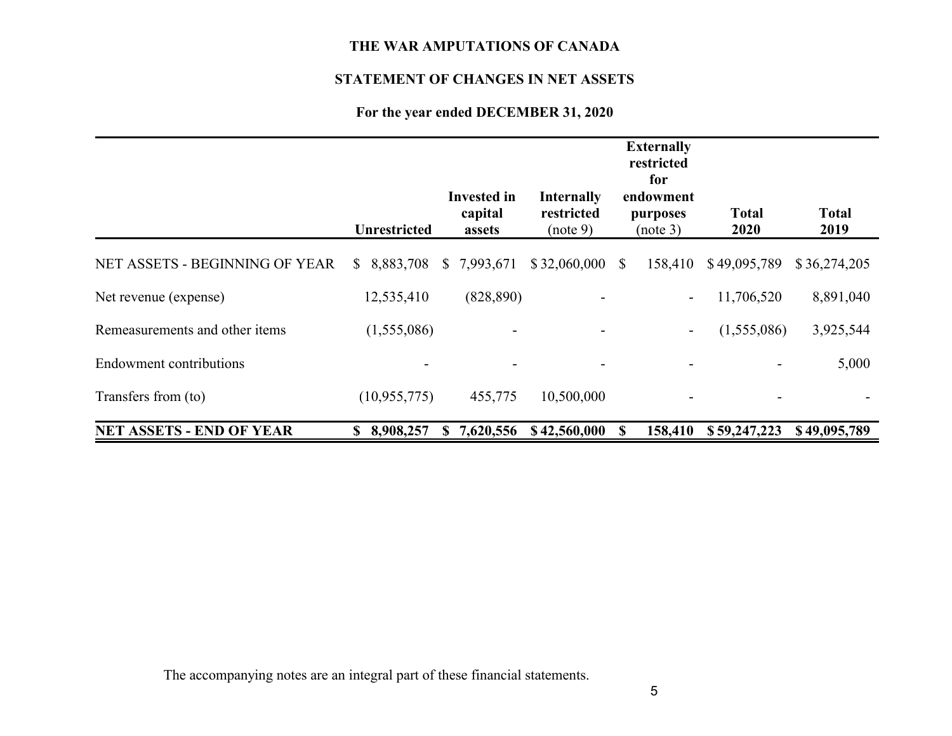## **STATEMENT OF CHANGES IN NET ASSETS**

# **For the year ended DECEMBER 31, 2020**

|                                 |                             |   | <b>Invested in</b> | <b>Internally</b>      |              | <b>Externally</b><br>restricted<br>for<br>endowment |                      |                      |
|---------------------------------|-----------------------------|---|--------------------|------------------------|--------------|-----------------------------------------------------|----------------------|----------------------|
|                                 | <b>Unrestricted</b>         |   | capital<br>assets  | restricted<br>(note 9) |              | purposes<br>(note 3)                                | <b>Total</b><br>2020 | <b>Total</b><br>2019 |
| NET ASSETS - BEGINNING OF YEAR  | 8,883,708<br>$\mathbb{S}^-$ |   | \$7,993,671        | \$32,060,000           | $\mathbb{S}$ | 158,410                                             | \$49,095,789         | \$36,274,205         |
| Net revenue (expense)           | 12,535,410                  |   | (828, 890)         |                        |              | Ξ.                                                  | 11,706,520           | 8,891,040            |
| Remeasurements and other items  | (1,555,086)                 |   |                    |                        |              | ۰.                                                  | (1,555,086)          | 3,925,544            |
| Endowment contributions         |                             |   |                    | $\overline{a}$         |              |                                                     |                      | 5,000                |
| Transfers from (to)             | (10,955,775)                |   | 455,775            | 10,500,000             |              | $\overline{\phantom{0}}$                            |                      |                      |
| <b>NET ASSETS - END OF YEAR</b> | 8,908,257<br>S.             | S | 7,620,556          | \$42,560,000           | S            | 158,410                                             | \$59,247,223         | \$49,095,789         |

The accompanying notes are an integral part of these financial statements.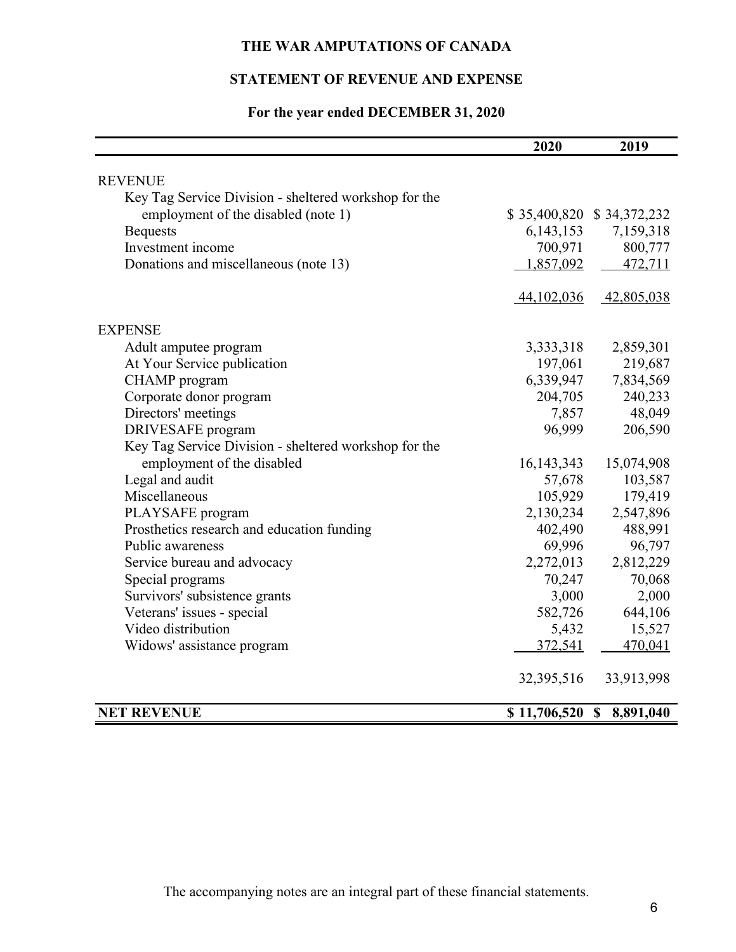# **STATEMENT OF REVENUE AND EXPENSE**

## **For the year ended DECEMBER 31, 2020**

|                                                       | 2020         | 2019                      |
|-------------------------------------------------------|--------------|---------------------------|
|                                                       |              |                           |
| <b>REVENUE</b>                                        |              |                           |
| Key Tag Service Division - sheltered workshop for the |              |                           |
| employment of the disabled (note 1)                   |              | \$35,400,820 \$34,372,232 |
| <b>Bequests</b>                                       | 6, 143, 153  | 7,159,318                 |
| Investment income                                     | 700,971      | 800,777                   |
| Donations and miscellaneous (note 13)                 | 1,857,092    | 472,711                   |
|                                                       | 44,102,036   | 42,805,038                |
| <b>EXPENSE</b>                                        |              |                           |
| Adult amputee program                                 | 3,333,318    | 2,859,301                 |
| At Your Service publication                           | 197,061      | 219,687                   |
| CHAMP program                                         | 6,339,947    | 7,834,569                 |
| Corporate donor program                               | 204,705      | 240,233                   |
| Directors' meetings                                   | 7,857        | 48,049                    |
| <b>DRIVESAFE</b> program                              | 96,999       | 206,590                   |
| Key Tag Service Division - sheltered workshop for the |              |                           |
| employment of the disabled                            | 16,143,343   | 15,074,908                |
| Legal and audit                                       | 57,678       | 103,587                   |
| Miscellaneous                                         | 105,929      | 179,419                   |
| PLAYSAFE program                                      | 2,130,234    | 2,547,896                 |
| Prosthetics research and education funding            | 402,490      | 488,991                   |
| Public awareness                                      | 69,996       | 96,797                    |
| Service bureau and advocacy                           | 2,272,013    | 2,812,229                 |
| Special programs                                      | 70,247       | 70,068                    |
| Survivors' subsistence grants                         | 3,000        | 2,000                     |
| Veterans' issues - special                            | 582,726      | 644,106                   |
| Video distribution                                    | 5,432        | 15,527                    |
| Widows' assistance program                            | 372,541      | 470,041                   |
|                                                       | 32,395,516   | 33,913,998                |
| <b>NET REVENUE</b>                                    | \$11,706,520 | 8,891,040<br>$\mathbf S$  |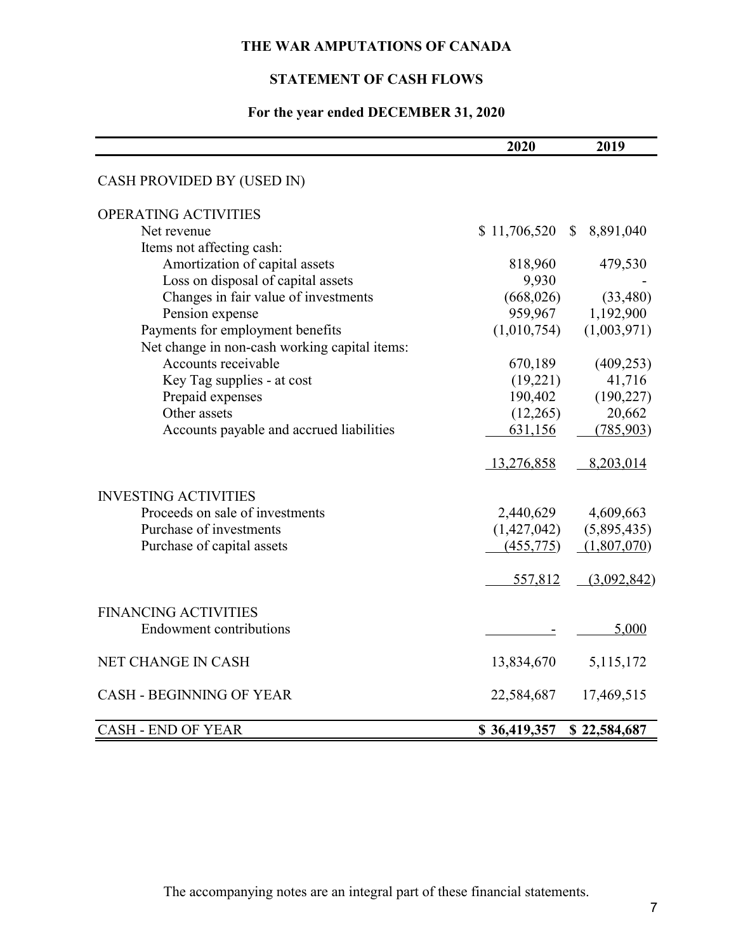# **STATEMENT OF CASH FLOWS**

## **For the year ended DECEMBER 31, 2020**

|                                               | 2020                | 2019         |
|-----------------------------------------------|---------------------|--------------|
| CASH PROVIDED BY (USED IN)                    |                     |              |
| <b>OPERATING ACTIVITIES</b>                   |                     |              |
| Net revenue                                   | $$11,706,520$ \, \$ | 8,891,040    |
| Items not affecting cash:                     |                     |              |
| Amortization of capital assets                | 818,960             | 479,530      |
| Loss on disposal of capital assets            | 9,930               |              |
| Changes in fair value of investments          | (668, 026)          | (33, 480)    |
| Pension expense                               | 959,967             | 1,192,900    |
| Payments for employment benefits              | (1,010,754)         | (1,003,971)  |
| Net change in non-cash working capital items: |                     |              |
| Accounts receivable                           | 670,189             | (409, 253)   |
| Key Tag supplies - at cost                    | (19,221)            | 41,716       |
| Prepaid expenses                              | 190,402             | (190, 227)   |
| Other assets                                  | (12,265)            | 20,662       |
| Accounts payable and accrued liabilities      | 631,156             | (785, 903)   |
|                                               |                     |              |
|                                               | <u>13,276,858</u>   | 8,203,014    |
| <b>INVESTING ACTIVITIES</b>                   |                     |              |
| Proceeds on sale of investments               | 2,440,629           | 4,609,663    |
| Purchase of investments                       | (1,427,042)         | (5,895,435)  |
| Purchase of capital assets                    | (455, 775)          | (1,807,070)  |
|                                               | 557,812             | (3,092,842)  |
| <b>FINANCING ACTIVITIES</b>                   |                     |              |
| <b>Endowment contributions</b>                |                     | 5,000        |
| NET CHANGE IN CASH                            | 13,834,670          | 5,115,172    |
| <b>CASH - BEGINNING OF YEAR</b>               | 22,584,687          | 17,469,515   |
| <b>CASH - END OF YEAR</b>                     | \$36,419,357        | \$22,584,687 |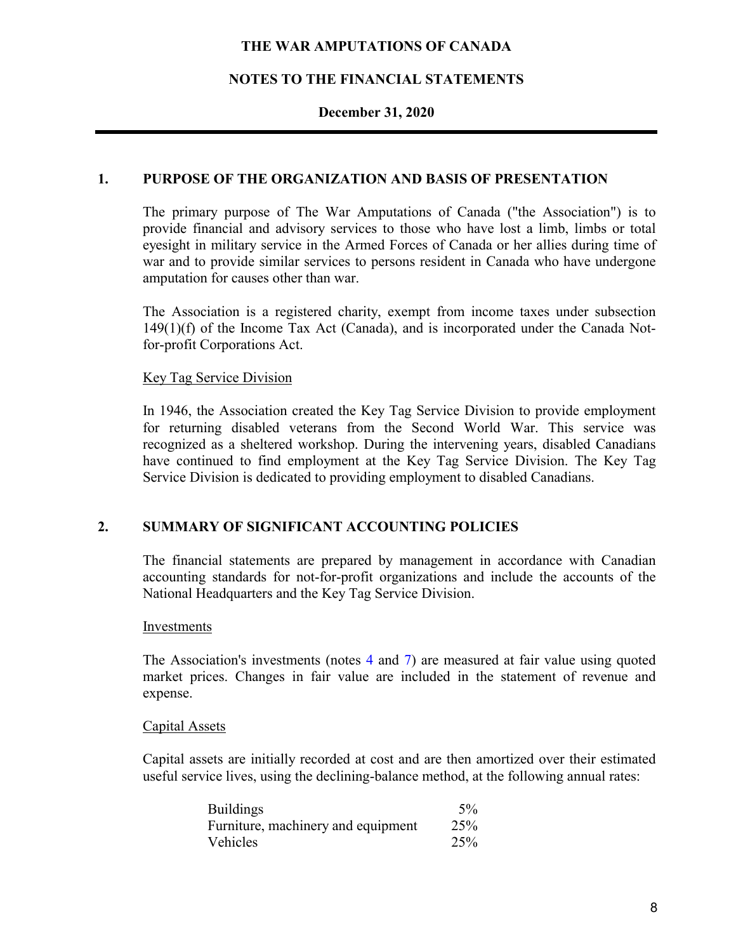## **NOTES TO THE FINANCIAL STATEMENTS**

## **December 31, 2020**

### **1. PURPOSE OF THE ORGANIZATION AND BASIS OF PRESENTATION**

The primary purpose of The War Amputations of Canada ("the Association") is to provide financial and advisory services to those who have lost a limb, limbs or total eyesight in military service in the Armed Forces of Canada or her allies during time of war and to provide similar services to persons resident in Canada who have undergone amputation for causes other than war.

The Association is a registered charity, exempt from income taxes under subsection 149(1)(f) of the Income Tax Act (Canada), and is incorporated under the Canada Notfor-profit Corporations Act.

#### Key Tag Service Division

In 1946, the Association created the Key Tag Service Division to provide employment for returning disabled veterans from the Second World War. This service was recognized as a sheltered workshop. During the intervening years, disabled Canadians have continued to find employment at the Key Tag Service Division. The Key Tag Service Division is dedicated to providing employment to disabled Canadians.

### **2. SUMMARY OF SIGNIFICANT ACCOUNTING POLICIES**

The financial statements are prepared by management in accordance with Canadian accounting standards for not-for-profit organizations and include the accounts of the National Headquarters and the Key Tag Service Division.

#### Investments

The Association's investments (notes 4 and 7) are measured at fair value using quoted market prices. Changes in fair value are included in the statement of revenue and expense.

#### Capital Assets

Capital assets are initially recorded at cost and are then amortized over their estimated useful service lives, using the declining-balance method, at the following annual rates:

| <b>Buildings</b>                   | 5%  |
|------------------------------------|-----|
| Furniture, machinery and equipment | 25% |
| Vehicles                           | 25% |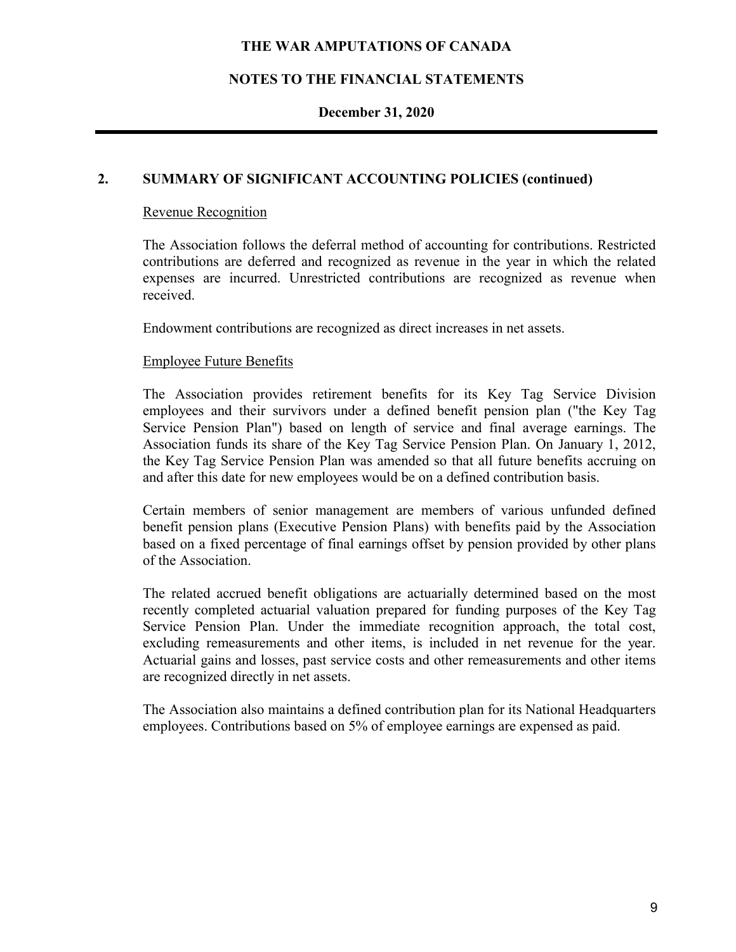## **NOTES TO THE FINANCIAL STATEMENTS**

## **December 31, 2020**

### **2. SUMMARY OF SIGNIFICANT ACCOUNTING POLICIES (continued)**

#### Revenue Recognition

The Association follows the deferral method of accounting for contributions. Restricted contributions are deferred and recognized as revenue in the year in which the related expenses are incurred. Unrestricted contributions are recognized as revenue when received.

Endowment contributions are recognized as direct increases in net assets.

#### Employee Future Benefits

The Association provides retirement benefits for its Key Tag Service Division employees and their survivors under a defined benefit pension plan ("the Key Tag Service Pension Plan") based on length of service and final average earnings. The Association funds its share of the Key Tag Service Pension Plan. On January 1, 2012, the Key Tag Service Pension Plan was amended so that all future benefits accruing on and after this date for new employees would be on a defined contribution basis.

Certain members of senior management are members of various unfunded defined benefit pension plans (Executive Pension Plans) with benefits paid by the Association based on a fixed percentage of final earnings offset by pension provided by other plans of the Association.

The related accrued benefit obligations are actuarially determined based on the most recently completed actuarial valuation prepared for funding purposes of the Key Tag Service Pension Plan. Under the immediate recognition approach, the total cost, excluding remeasurements and other items, is included in net revenue for the year. Actuarial gains and losses, past service costs and other remeasurements and other items are recognized directly in net assets.

The Association also maintains a defined contribution plan for its National Headquarters employees. Contributions based on 5% of employee earnings are expensed as paid.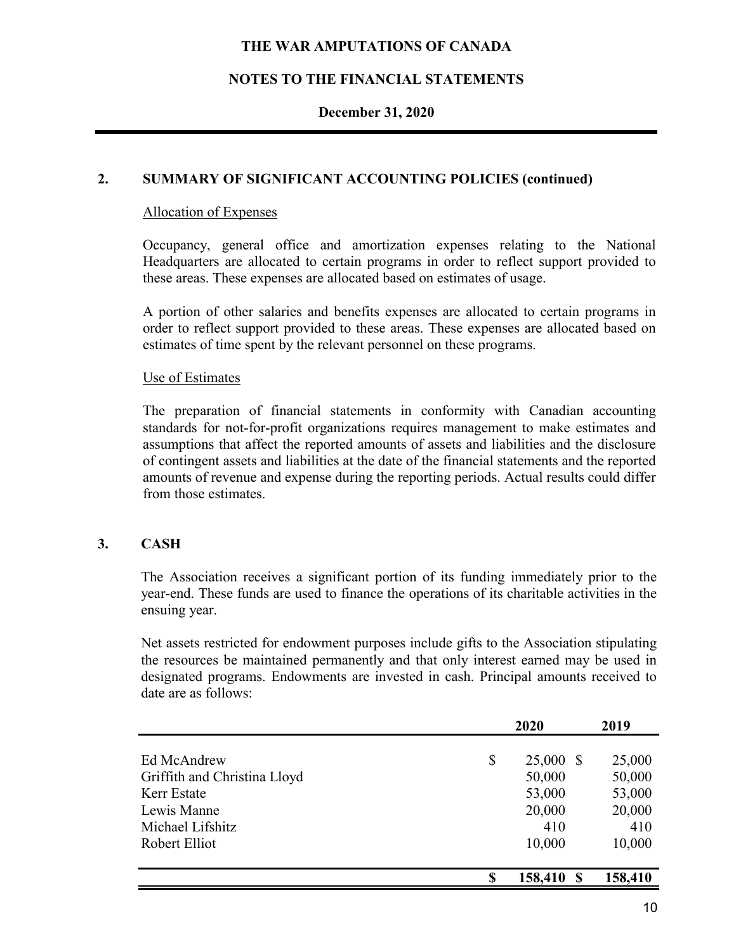## **NOTES TO THE FINANCIAL STATEMENTS**

## **December 31, 2020**

## **2. SUMMARY OF SIGNIFICANT ACCOUNTING POLICIES (continued)**

### Allocation of Expenses

Occupancy, general office and amortization expenses relating to the National Headquarters are allocated to certain programs in order to reflect support provided to these areas. These expenses are allocated based on estimates of usage.

A portion of other salaries and benefits expenses are allocated to certain programs in order to reflect support provided to these areas. These expenses are allocated based on estimates of time spent by the relevant personnel on these programs.

#### Use of Estimates

The preparation of financial statements in conformity with Canadian accounting standards for not-for-profit organizations requires management to make estimates and assumptions that affect the reported amounts of assets and liabilities and the disclosure of contingent assets and liabilities at the date of the financial statements and the reported amounts of revenue and expense during the reporting periods. Actual results could differ from those estimates.

### **3. CASH**

The Association receives a significant portion of its funding immediately prior to the year-end. These funds are used to finance the operations of its charitable activities in the ensuing year.

Net assets restricted for endowment purposes include gifts to the Association stipulating the resources be maintained permanently and that only interest earned may be used in designated programs. Endowments are invested in cash. Principal amounts received to date are as follows:

|                              |    | 2020           | 2019    |
|------------------------------|----|----------------|---------|
|                              |    |                |         |
| Ed McAndrew                  | \$ | 25,000 \$      | 25,000  |
| Griffith and Christina Lloyd |    | 50,000         | 50,000  |
| Kerr Estate                  |    | 53,000         | 53,000  |
| Lewis Manne                  |    | 20,000         | 20,000  |
| Michael Lifshitz             |    | 410            | 410     |
| Robert Elliot                |    | 10,000         | 10,000  |
|                              | S  | 158,410<br>- S | 158,410 |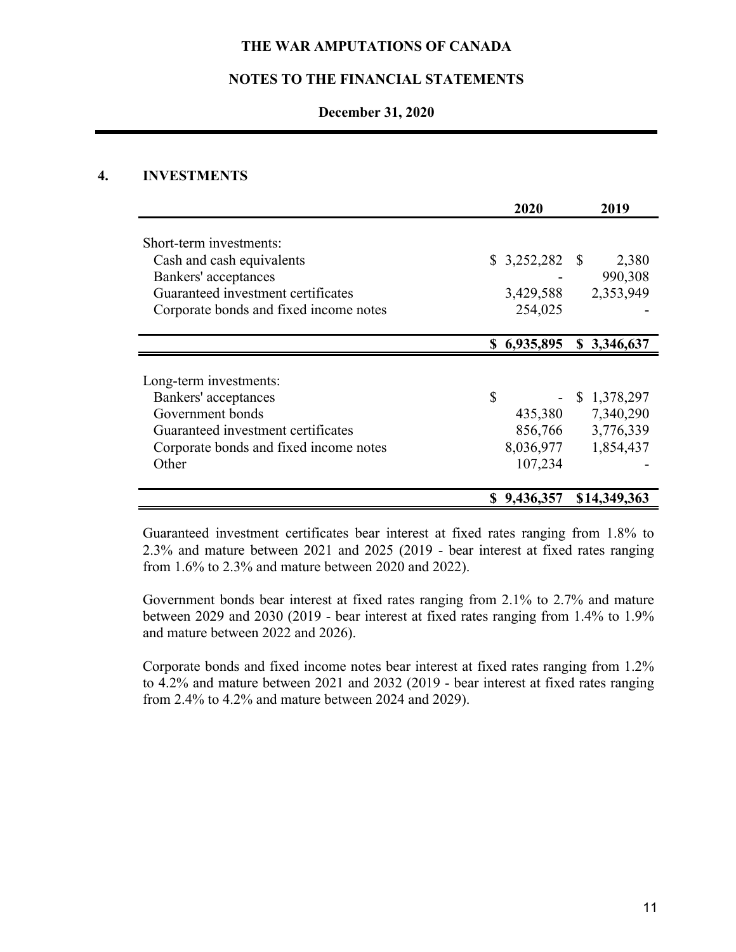## **NOTES TO THE FINANCIAL STATEMENTS**

## **December 31, 2020**

#### **4. INVESTMENTS**

|                                        |    | 2020        | 2019             |  |
|----------------------------------------|----|-------------|------------------|--|
|                                        |    |             |                  |  |
| Short-term investments:                |    |             |                  |  |
| Cash and cash equivalents              |    | \$3,252,282 | 2,380<br>- S     |  |
| Bankers' acceptances                   |    |             | 990,308          |  |
| Guaranteed investment certificates     |    | 3,429,588   | 2,353,949        |  |
| Corporate bonds and fixed income notes |    | 254,025     |                  |  |
|                                        |    |             |                  |  |
|                                        | S. | 6,935,895   | 3,346,637<br>S.  |  |
|                                        |    |             |                  |  |
| Long-term investments:                 |    |             |                  |  |
| Bankers' acceptances                   | \$ |             | $-$ \$ 1,378,297 |  |
| Government bonds                       |    | 435,380     | 7,340,290        |  |
| Guaranteed investment certificates     |    | 856,766     | 3,776,339        |  |
| Corporate bonds and fixed income notes |    | 8,036,977   | 1,854,437        |  |
| Other                                  |    | 107,234     |                  |  |
|                                        |    |             |                  |  |
|                                        |    | 9,436,357   | \$14,349,363     |  |

Guaranteed investment certificates bear interest at fixed rates ranging from 1.8% to 2.3% and mature between 2021 and 2025 (2019 - bear interest at fixed rates ranging from 1.6% to 2.3% and mature between 2020 and 2022).

Government bonds bear interest at fixed rates ranging from 2.1% to 2.7% and mature between 2029 and 2030 (2019 - bear interest at fixed rates ranging from 1.4% to 1.9% and mature between 2022 and 2026).

Corporate bonds and fixed income notes bear interest at fixed rates ranging from 1.2% to 4.2% and mature between 2021 and 2032 (2019 - bear interest at fixed rates ranging from 2.4% to 4.2% and mature between 2024 and 2029).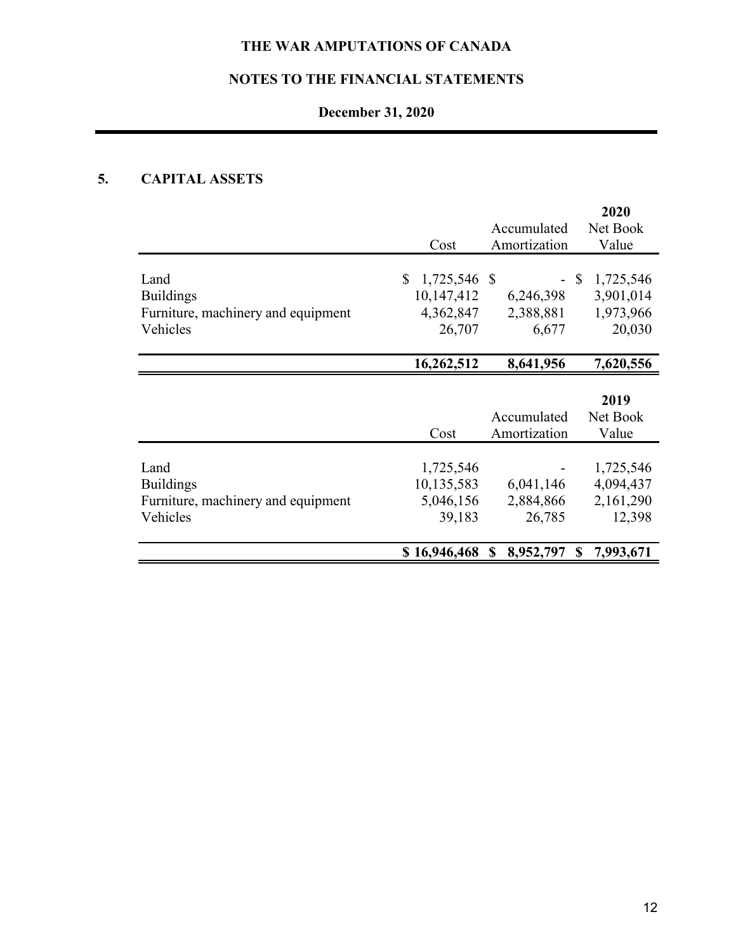# **NOTES TO THE FINANCIAL STATEMENTS**

# **December 31, 2020**

# **5. CAPITAL ASSETS**

|                                    |                     |              | 2020              |
|------------------------------------|---------------------|--------------|-------------------|
|                                    |                     | Accumulated  | Net Book          |
|                                    | Cost                | Amortization | Value             |
|                                    |                     |              |                   |
| Land                               | 1,725,546 \$<br>\$. |              | 1,725,546<br>- \$ |
| <b>Buildings</b>                   | 10,147,412          | 6,246,398    | 3,901,014         |
| Furniture, machinery and equipment | 4,362,847           | 2,388,881    | 1,973,966         |
| Vehicles                           | 26,707              | 6,677        | 20,030            |
|                                    |                     |              |                   |
|                                    | 16,262,512          | 8,641,956    | 7,620,556         |
|                                    |                     |              |                   |
|                                    |                     |              | 2019              |
|                                    |                     | Accumulated  | Net Book          |
|                                    | Cost                | Amortization | Value             |
|                                    |                     |              |                   |
| Land                               | 1,725,546           |              | 1,725,546         |
| <b>Buildings</b>                   | 10,135,583          | 6,041,146    | 4,094,437         |
| Furniture, machinery and equipment | 5,046,156           | 2,884,866    | 2,161,290         |
| Vehicles                           | 39,183              | 26,785       | 12,398            |
|                                    |                     |              |                   |
|                                    |                     |              |                   |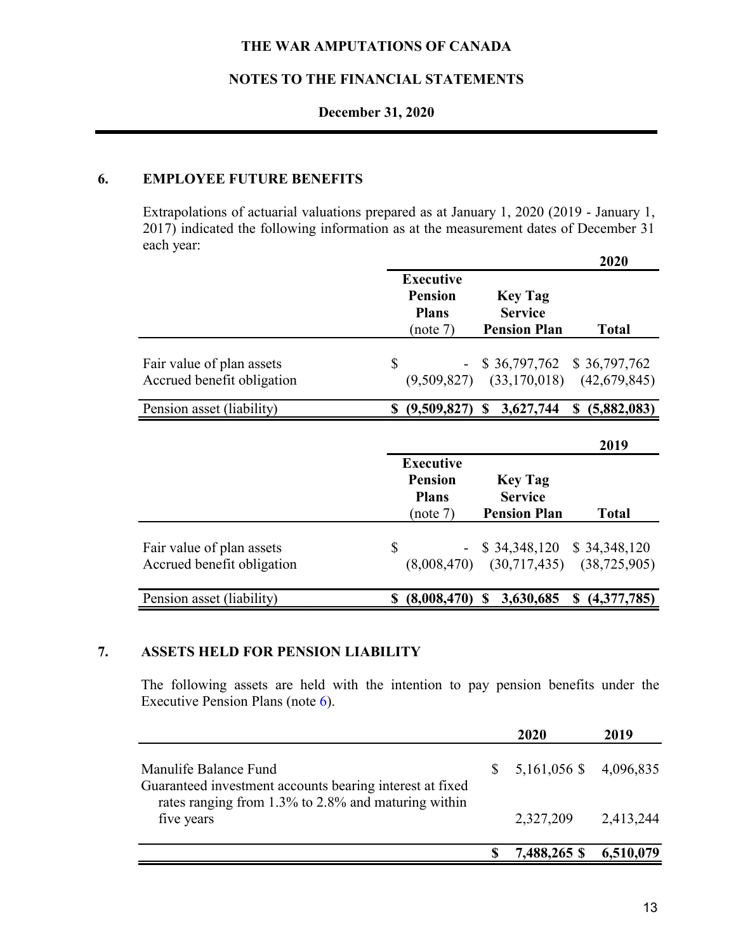## **NOTES TO THE FINANCIAL STATEMENTS**

## **December 31, 2020**

### **6. EMPLOYEE FUTURE BENEFITS**

Extrapolations of actuarial valuations prepared as at January 1, 2020 (2019 - January 1, 2017) indicated the following information as at the measurement dates of December 31 each year:

|                                                         |                                                                |                                                                 | 2020              |
|---------------------------------------------------------|----------------------------------------------------------------|-----------------------------------------------------------------|-------------------|
|                                                         | <b>Executive</b><br><b>Pension</b><br><b>Plans</b><br>(note 7) | <b>Key Tag</b><br><b>Service</b><br><b>Pension Plan</b>         | <b>Total</b>      |
| Fair value of plan assets<br>Accrued benefit obligation | \$                                                             | \$36,797,762<br>$(9,509,827)$ $(33,170,018)$ $(42,679,845)$     | \$36,797,762      |
| Pension asset (liability)                               | (9,509,827)<br>S                                               | $\mathbf S$<br>3,627,744                                        | (5,882,083)<br>\$ |
|                                                         |                                                                |                                                                 | 2019              |
|                                                         | <b>Executive</b><br><b>Pension</b><br><b>Plans</b><br>(note 7) | <b>Key Tag</b><br><b>Service</b><br><b>Pension Plan</b>         | <b>Total</b>      |
| Fair value of plan assets<br>Accrued benefit obligation | \$                                                             | $-$ \$ 34,348,120 \$ 34,348,120<br>$(8,008,470)$ $(30,717,435)$ | (38, 725, 905)    |
|                                                         |                                                                |                                                                 |                   |

## **7. ASSETS HELD FOR PENSION LIABILITY**

The following assets are held with the intention to pay pension benefits under the Executive Pension Plans (note 6).

|                                                                                   | 2020                   | 2019      |
|-----------------------------------------------------------------------------------|------------------------|-----------|
| Manulife Balance Fund<br>Guaranteed investment accounts bearing interest at fixed | 5,161,056 \$4,096,835  |           |
| rates ranging from 1.3% to 2.8% and maturing within<br>five years                 | 2,327,209              | 2,413,244 |
|                                                                                   | 7,488,265 \$ 6,510,079 |           |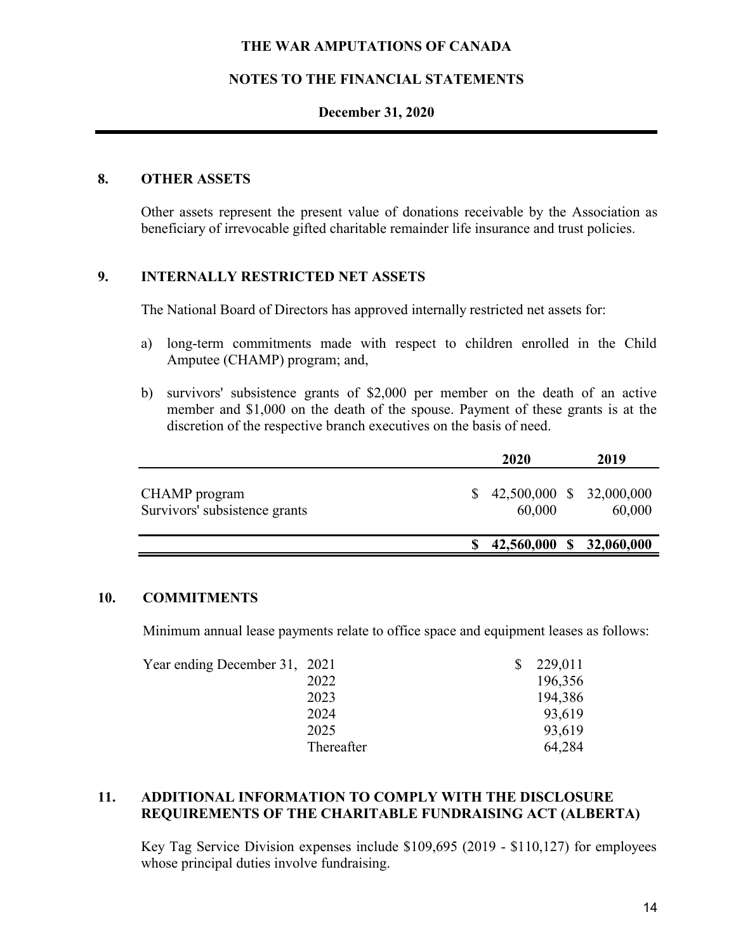## **NOTES TO THE FINANCIAL STATEMENTS**

## **December 31, 2020**

## **8. OTHER ASSETS**

Other assets represent the present value of donations receivable by the Association as beneficiary of irrevocable gifted charitable remainder life insurance and trust policies.

### **9. INTERNALLY RESTRICTED NET ASSETS**

The National Board of Directors has approved internally restricted net assets for:

- a) long-term commitments made with respect to children enrolled in the Child Amputee (CHAMP) program; and,
- b) survivors' subsistence grants of \$2,000 per member on the death of an active member and \$1,000 on the death of the spouse. Payment of these grants is at the discretion of the respective branch executives on the basis of need.

|                                                | 2020   | 2019                               |
|------------------------------------------------|--------|------------------------------------|
| CHAMP program<br>Survivors' subsistence grants | 60,000 | 42,500,000 \$ 32,000,000<br>60,000 |
|                                                |        | 42,560,000 \$ 32,060,000           |

## **10. COMMITMENTS**

Minimum annual lease payments relate to office space and equipment leases as follows:

| Year ending December 31, 2021 |            | 229,011 |
|-------------------------------|------------|---------|
|                               | 2022       | 196,356 |
|                               | 2023       | 194,386 |
|                               | 2024       | 93,619  |
|                               | 2025       | 93,619  |
|                               | Thereafter | 64,284  |

## **11. ADDITIONAL INFORMATION TO COMPLY WITH THE DISCLOSURE REQUIREMENTS OF THE CHARITABLE FUNDRAISING ACT (ALBERTA)**

Key Tag Service Division expenses include \$109,695 (2019 - \$110,127) for employees whose principal duties involve fundraising.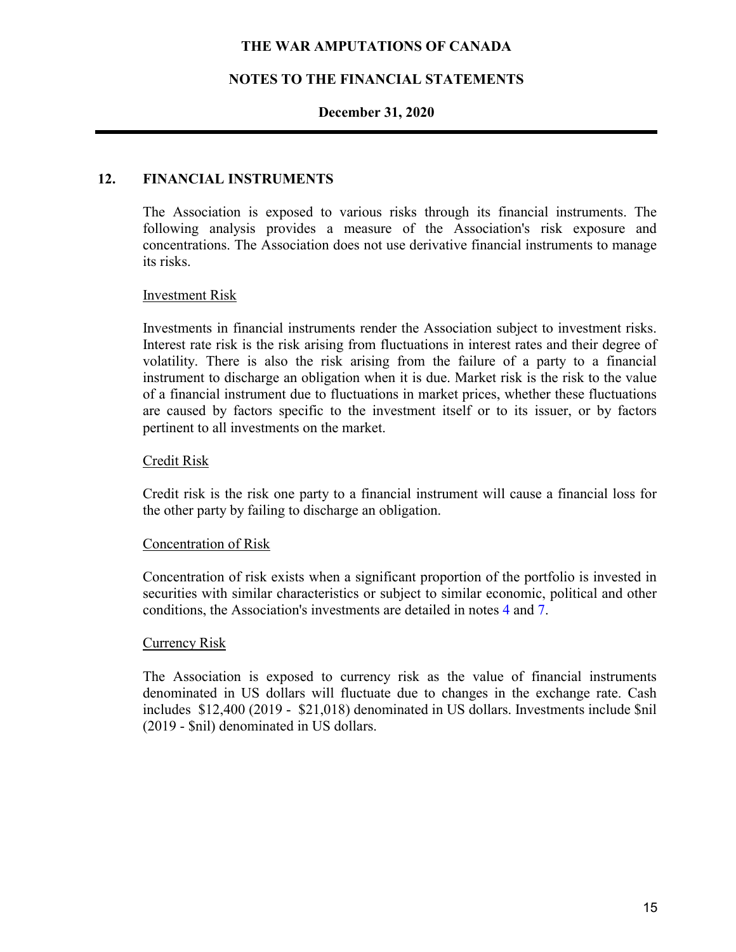### **NOTES TO THE FINANCIAL STATEMENTS**

## **December 31, 2020**

## **12. FINANCIAL INSTRUMENTS**

The Association is exposed to various risks through its financial instruments. The following analysis provides a measure of the Association's risk exposure and concentrations. The Association does not use derivative financial instruments to manage its risks.

#### Investment Risk

Investments in financial instruments render the Association subject to investment risks. Interest rate risk is the risk arising from fluctuations in interest rates and their degree of volatility. There is also the risk arising from the failure of a party to a financial instrument to discharge an obligation when it is due. Market risk is the risk to the value of a financial instrument due to fluctuations in market prices, whether these fluctuations are caused by factors specific to the investment itself or to its issuer, or by factors pertinent to all investments on the market.

#### Credit Risk

Credit risk is the risk one party to a financial instrument will cause a financial loss for the other party by failing to discharge an obligation.

#### Concentration of Risk

Concentration of risk exists when a significant proportion of the portfolio is invested in securities with similar characteristics or subject to similar economic, political and other conditions, the Association's investments are detailed in notes 4 and 7.

#### Currency Risk

The Association is exposed to currency risk as the value of financial instruments denominated in US dollars will fluctuate due to changes in the exchange rate. Cash includes \$12,400 (2019 - \$21,018) denominated in US dollars. Investments include \$nil (2019 - \$nil) denominated in US dollars.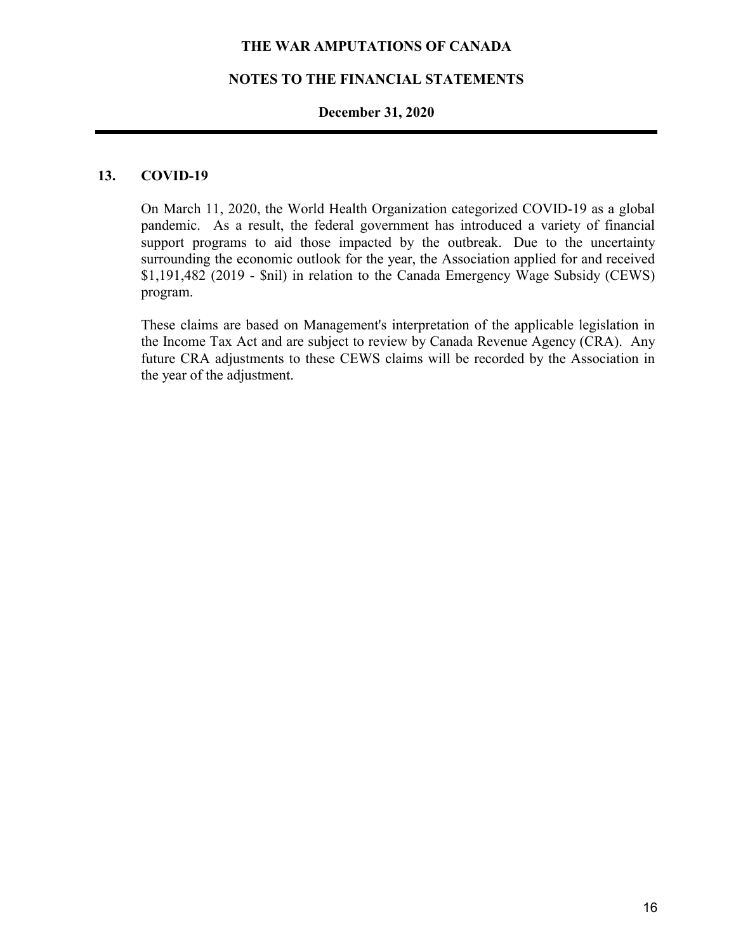## **NOTES TO THE FINANCIAL STATEMENTS**

## **December 31, 2020**

#### **13. COVID-19**

On March 11, 2020, the World Health Organization categorized COVID-19 as a global pandemic. As a result, the federal government has introduced a variety of financial support programs to aid those impacted by the outbreak. Due to the uncertainty surrounding the economic outlook for the year, the Association applied for and received \$1,191,482 (2019 - \$nil) in relation to the Canada Emergency Wage Subsidy (CEWS) program.

These claims are based on Management's interpretation of the applicable legislation in the Income Tax Act and are subject to review by Canada Revenue Agency (CRA). Any future CRA adjustments to these CEWS claims will be recorded by the Association in the year of the adjustment.